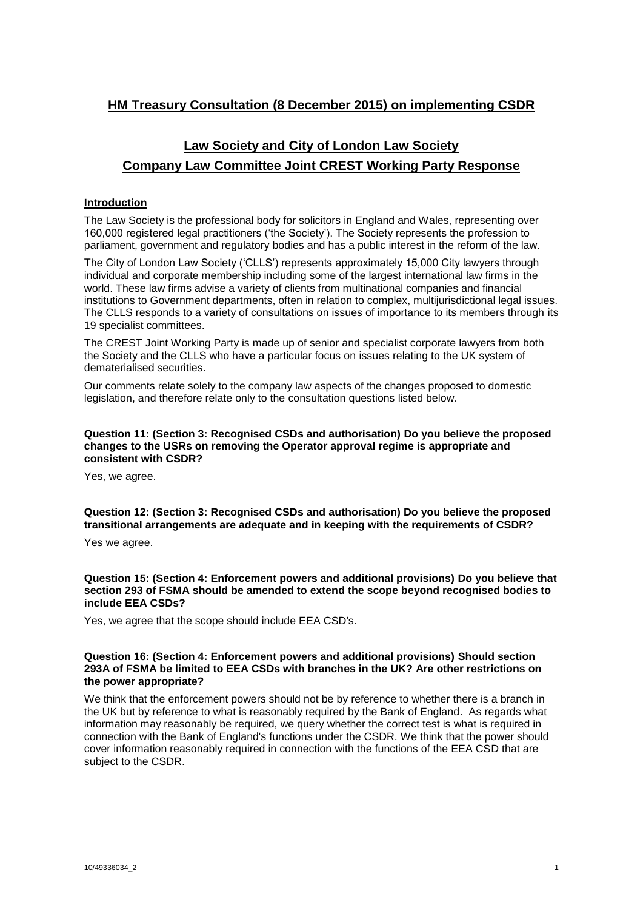# **HM Treasury Consultation (8 December 2015) on implementing CSDR**

# **Law Society and City of London Law Society Company Law Committee Joint CREST Working Party Response**

# **Introduction**

The Law Society is the professional body for solicitors in England and Wales, representing over 160,000 registered legal practitioners ('the Society'). The Society represents the profession to parliament, government and regulatory bodies and has a public interest in the reform of the law.

The City of London Law Society ('CLLS') represents approximately 15,000 City lawyers through individual and corporate membership including some of the largest international law firms in the world. These law firms advise a variety of clients from multinational companies and financial institutions to Government departments, often in relation to complex, multijurisdictional legal issues. The CLLS responds to a variety of consultations on issues of importance to its members through its 19 specialist committees.

The CREST Joint Working Party is made up of senior and specialist corporate lawyers from both the Society and the CLLS who have a particular focus on issues relating to the UK system of dematerialised securities.

Our comments relate solely to the company law aspects of the changes proposed to domestic legislation, and therefore relate only to the consultation questions listed below.

## **Question 11: (Section 3: Recognised CSDs and authorisation) Do you believe the proposed changes to the USRs on removing the Operator approval regime is appropriate and consistent with CSDR?**

Yes, we agree.

**Question 12: (Section 3: Recognised CSDs and authorisation) Do you believe the proposed transitional arrangements are adequate and in keeping with the requirements of CSDR?**

Yes we agree.

**Question 15: (Section 4: Enforcement powers and additional provisions) Do you believe that section 293 of FSMA should be amended to extend the scope beyond recognised bodies to include EEA CSDs?**

Yes, we agree that the scope should include EEA CSD's.

#### **Question 16: (Section 4: Enforcement powers and additional provisions) Should section 293A of FSMA be limited to EEA CSDs with branches in the UK? Are other restrictions on the power appropriate?**

We think that the enforcement powers should not be by reference to whether there is a branch in the UK but by reference to what is reasonably required by the Bank of England. As regards what information may reasonably be required, we query whether the correct test is what is required in connection with the Bank of England's functions under the CSDR. We think that the power should cover information reasonably required in connection with the functions of the EEA CSD that are subject to the CSDR.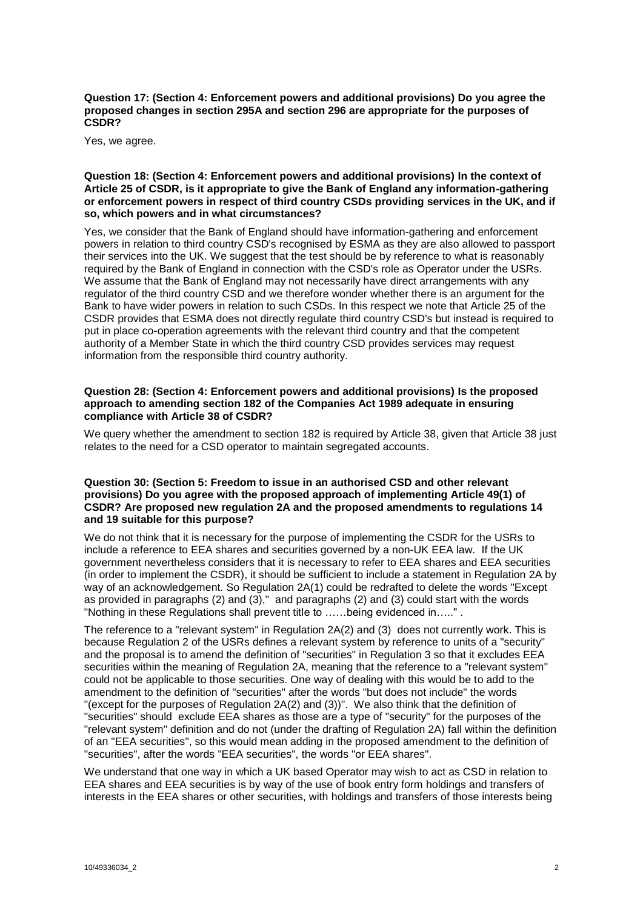**Question 17: (Section 4: Enforcement powers and additional provisions) Do you agree the proposed changes in section 295A and section 296 are appropriate for the purposes of CSDR?**

Yes, we agree.

#### **Question 18: (Section 4: Enforcement powers and additional provisions) In the context of Article 25 of CSDR, is it appropriate to give the Bank of England any information-gathering or enforcement powers in respect of third country CSDs providing services in the UK, and if so, which powers and in what circumstances?**

Yes, we consider that the Bank of England should have information-gathering and enforcement powers in relation to third country CSD's recognised by ESMA as they are also allowed to passport their services into the UK. We suggest that the test should be by reference to what is reasonably required by the Bank of England in connection with the CSD's role as Operator under the USRs. We assume that the Bank of England may not necessarily have direct arrangements with any regulator of the third country CSD and we therefore wonder whether there is an argument for the Bank to have wider powers in relation to such CSDs. In this respect we note that Article 25 of the CSDR provides that ESMA does not directly regulate third country CSD's but instead is required to put in place co-operation agreements with the relevant third country and that the competent authority of a Member State in which the third country CSD provides services may request information from the responsible third country authority.

#### **Question 28: (Section 4: Enforcement powers and additional provisions) Is the proposed approach to amending section 182 of the Companies Act 1989 adequate in ensuring compliance with Article 38 of CSDR?**

We query whether the amendment to section 182 is required by Article 38, given that Article 38 just relates to the need for a CSD operator to maintain segregated accounts.

#### **Question 30: (Section 5: Freedom to issue in an authorised CSD and other relevant provisions) Do you agree with the proposed approach of implementing Article 49(1) of CSDR? Are proposed new regulation 2A and the proposed amendments to regulations 14 and 19 suitable for this purpose?**

We do not think that it is necessary for the purpose of implementing the CSDR for the USRs to include a reference to EEA shares and securities governed by a non-UK EEA law. If the UK government nevertheless considers that it is necessary to refer to EEA shares and EEA securities (in order to implement the CSDR), it should be sufficient to include a statement in Regulation 2A by way of an acknowledgement. So Regulation 2A(1) could be redrafted to delete the words "Except as provided in paragraphs (2) and (3)," and paragraphs (2) and (3) could start with the words "Nothing in these Regulations shall prevent title to ……being evidenced in….." .

The reference to a "relevant system" in Regulation 2A(2) and (3) does not currently work. This is because Regulation 2 of the USRs defines a relevant system by reference to units of a "security" and the proposal is to amend the definition of "securities" in Regulation 3 so that it excludes EEA securities within the meaning of Regulation 2A, meaning that the reference to a "relevant system" could not be applicable to those securities. One way of dealing with this would be to add to the amendment to the definition of "securities" after the words "but does not include" the words "(except for the purposes of Regulation 2A(2) and (3))". We also think that the definition of "securities" should exclude EEA shares as those are a type of "security" for the purposes of the "relevant system" definition and do not (under the drafting of Regulation 2A) fall within the definition of an "EEA securities", so this would mean adding in the proposed amendment to the definition of "securities", after the words "EEA securities", the words "or EEA shares".

We understand that one way in which a UK based Operator may wish to act as CSD in relation to EEA shares and EEA securities is by way of the use of book entry form holdings and transfers of interests in the EEA shares or other securities, with holdings and transfers of those interests being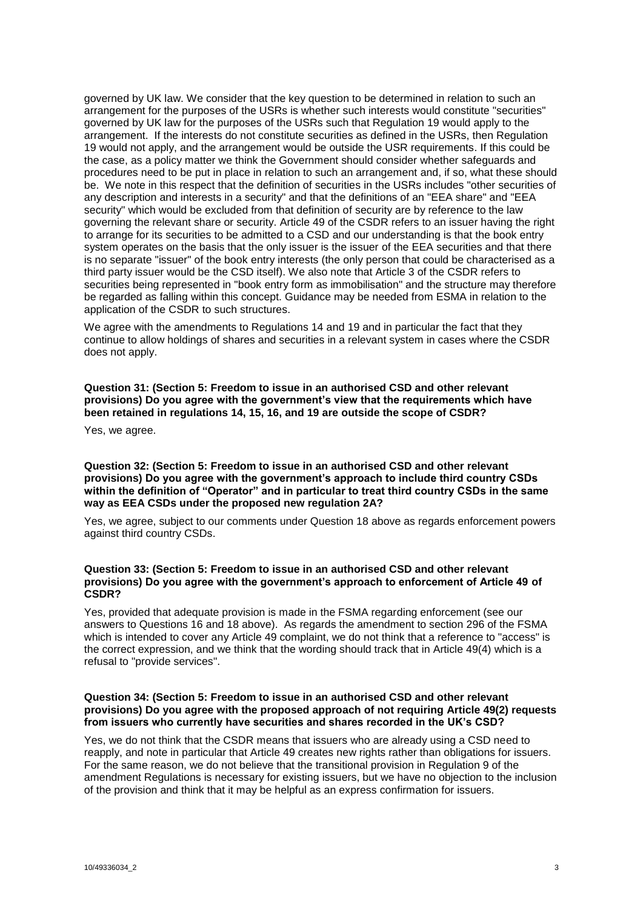governed by UK law. We consider that the key question to be determined in relation to such an arrangement for the purposes of the USRs is whether such interests would constitute "securities" governed by UK law for the purposes of the USRs such that Regulation 19 would apply to the arrangement. If the interests do not constitute securities as defined in the USRs, then Regulation 19 would not apply, and the arrangement would be outside the USR requirements. If this could be the case, as a policy matter we think the Government should consider whether safeguards and procedures need to be put in place in relation to such an arrangement and, if so, what these should be. We note in this respect that the definition of securities in the USRs includes "other securities of any description and interests in a security" and that the definitions of an "EEA share" and "EEA security" which would be excluded from that definition of security are by reference to the law governing the relevant share or security. Article 49 of the CSDR refers to an issuer having the right to arrange for its securities to be admitted to a CSD and our understanding is that the book entry system operates on the basis that the only issuer is the issuer of the EEA securities and that there is no separate "issuer" of the book entry interests (the only person that could be characterised as a third party issuer would be the CSD itself). We also note that Article 3 of the CSDR refers to securities being represented in "book entry form as immobilisation" and the structure may therefore be regarded as falling within this concept. Guidance may be needed from ESMA in relation to the application of the CSDR to such structures.

We agree with the amendments to Regulations 14 and 19 and in particular the fact that they continue to allow holdings of shares and securities in a relevant system in cases where the CSDR does not apply.

**Question 31: (Section 5: Freedom to issue in an authorised CSD and other relevant provisions) Do you agree with the government's view that the requirements which have been retained in regulations 14, 15, 16, and 19 are outside the scope of CSDR?**

Yes, we agree.

#### **Question 32: (Section 5: Freedom to issue in an authorised CSD and other relevant provisions) Do you agree with the government's approach to include third country CSDs within the definition of "Operator" and in particular to treat third country CSDs in the same way as EEA CSDs under the proposed new regulation 2A?**

Yes, we agree, subject to our comments under Question 18 above as regards enforcement powers against third country CSDs.

#### **Question 33: (Section 5: Freedom to issue in an authorised CSD and other relevant provisions) Do you agree with the government's approach to enforcement of Article 49 of CSDR?**

Yes, provided that adequate provision is made in the FSMA regarding enforcement (see our answers to Questions 16 and 18 above). As regards the amendment to section 296 of the FSMA which is intended to cover any Article 49 complaint, we do not think that a reference to "access" is the correct expression, and we think that the wording should track that in Article 49(4) which is a refusal to "provide services".

#### **Question 34: (Section 5: Freedom to issue in an authorised CSD and other relevant provisions) Do you agree with the proposed approach of not requiring Article 49(2) requests from issuers who currently have securities and shares recorded in the UK's CSD?**

Yes, we do not think that the CSDR means that issuers who are already using a CSD need to reapply, and note in particular that Article 49 creates new rights rather than obligations for issuers. For the same reason, we do not believe that the transitional provision in Regulation 9 of the amendment Regulations is necessary for existing issuers, but we have no objection to the inclusion of the provision and think that it may be helpful as an express confirmation for issuers.